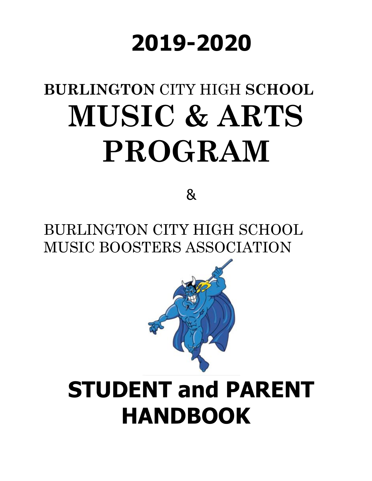# **2019-2020**

# **BURLINGTON** CITY HIGH **SCHOOL MUSIC & ARTS PROGRAM**

&

BURLINGTON CITY HIGH SCHOOL MUSIC BOOSTERS ASSOCIATION



## **STUDENT and PARENT HANDBOOK**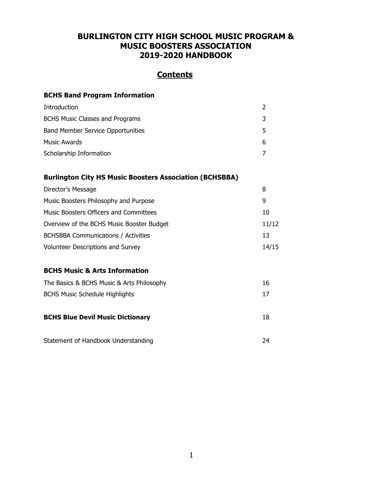#### **BURLINGTON CITY HIGH SCHOOL MUSIC PROGRAM & MUSIC BOOSTERS ASSOCIATION 2019-2020 HANDBOOK**

#### **Contents**

#### **BCHS Band Program Information**

| Introduction                                                   | $\overline{2}$ |
|----------------------------------------------------------------|----------------|
| <b>BCHS Music Classes and Programs</b>                         | 3              |
| <b>Band Member Service Opportunities</b>                       | 5              |
| <b>Music Awards</b>                                            | 6              |
| Scholarship Information                                        | 7              |
| <b>Burlington City HS Music Boosters Association (BCHSBBA)</b> |                |
| Director's Message                                             | 8              |
| Music Boosters Philosophy and Purpose                          | 9              |
| <b>Music Boosters Officers and Committees</b>                  | 10             |
| Overview of the BCHS Music Booster Budget                      | 11/12          |
| <b>BCHSBBA Communications / Activities</b>                     | 13             |
| <b>Volunteer Descriptions and Survey</b>                       | 14/15          |
| <b>BCHS Music &amp; Arts Information</b>                       |                |
| The Basics & BCHS Music & Arts Philosophy                      | 16             |
| <b>BCHS Music Schedule Highlights</b>                          | 17             |
| <b>BCHS Blue Devil Music Dictionary</b>                        | 18             |
| Statement of Handbook Understanding                            | 24             |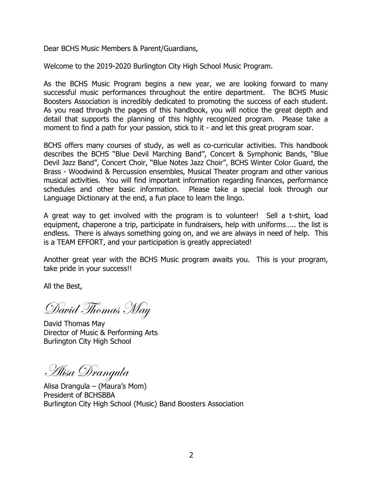Dear BCHS Music Members & Parent/Guardians,

Welcome to the 2019-2020 Burlington City High School Music Program.

As the BCHS Music Program begins a new year, we are looking forward to many successful music performances throughout the entire department. The BCHS Music Boosters Association is incredibly dedicated to promoting the success of each student. As you read through the pages of this handbook, you will notice the great depth and detail that supports the planning of this highly recognized program. Please take a moment to find a path for your passion, stick to it - and let this great program soar.

BCHS offers many courses of study, as well as co-curricular activities. This handbook describes the BCHS "Blue Devil Marching Band", Concert & Symphonic Bands, "Blue Devil Jazz Band", Concert Choir, "Blue Notes Jazz Choir", BCHS Winter Color Guard, the Brass - Woodwind & Percussion ensembles, Musical Theater program and other various musical activities. You will find important information regarding finances, performance schedules and other basic information. Please take a special look through our Language Dictionary at the end, a fun place to learn the lingo.

A great way to get involved with the program is to volunteer! Sell a t-shirt, load equipment, chaperone a trip, participate in fundraisers, help with uniforms….. the list is endless. There is always something going on, and we are always in need of help. This is a TEAM EFFORT, and your participation is greatly appreciated!

Another great year with the BCHS Music program awaits you. This is your program, take pride in your success!!

All the Best,

David Thomas May

David Thomas May Director of Music & Performing Arts Burlington City High School

Alisa Drangula

Alisa Drangula – (Maura's Mom) President of BCHSBBA Burlington City High School (Music) Band Boosters Association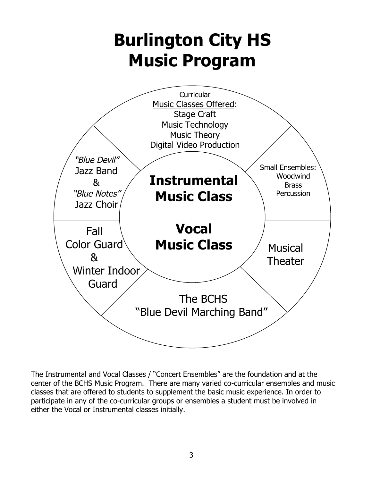## **Burlington City HS Music Program**



The Instrumental and Vocal Classes / "Concert Ensembles" are the foundation and at the center of the BCHS Music Program. There are many varied co-curricular ensembles and music classes that are offered to students to supplement the basic music experience. In order to participate in any of the co-curricular groups or ensembles a student must be involved in either the Vocal or Instrumental classes initially.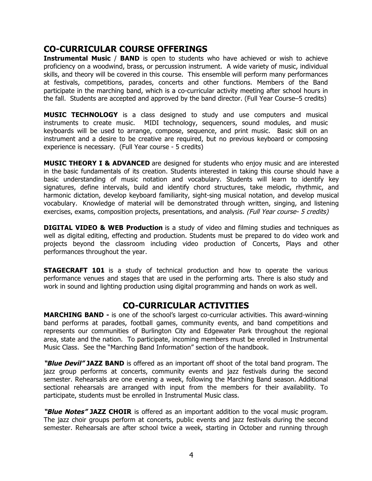#### **CO-CURRICULAR COURSE OFFERINGS**

**Instrumental Music / BAND** is open to students who have achieved or wish to achieve proficiency on a woodwind, brass, or percussion instrument. A wide variety of music, individual skills, and theory will be covered in this course. This ensemble will perform many performances at festivals, competitions, parades, concerts and other functions. Members of the Band participate in the marching band, which is a co-curricular activity meeting after school hours in the fall. Students are accepted and approved by the band director. (Full Year Course–5 credits)

**MUSIC TECHNOLOGY** is a class designed to study and use computers and musical instruments to create music. MIDI technology, sequencers, sound modules, and music keyboards will be used to arrange, compose, sequence, and print music. Basic skill on an instrument and a desire to be creative are required, but no previous keyboard or composing experience is necessary. (Full Year course - 5 credits)

**MUSIC THEORY I & ADVANCED** are designed for students who enjoy music and are interested in the basic fundamentals of its creation. Students interested in taking this course should have a basic understanding of music notation and vocabulary. Students will learn to identify key signatures, define intervals, build and identify chord structures, take melodic, rhythmic, and harmonic dictation, develop keyboard familiarity, sight-sing musical notation, and develop musical vocabulary. Knowledge of material will be demonstrated through written, singing, and listening exercises, exams, composition projects, presentations, and analysis. (Full Year course- 5 credits)

**DIGITAL VIDEO & WEB Production** is a study of video and filming studies and techniques as well as digital editing, effecting and production. Students must be prepared to do video work and projects beyond the classroom including video production of Concerts, Plays and other performances throughout the year.

**STAGECRAFT 101** is a study of technical production and how to operate the various performance venues and stages that are used in the performing arts. There is also study and work in sound and lighting production using digital programming and hands on work as well.

#### **CO-CURRICULAR ACTIVITIES**

**MARCHING BAND -** is one of the school's largest co-curricular activities. This award-winning band performs at parades, football games, community events, and band competitions and represents our communities of Burlington City and Edgewater Park throughout the regional area, state and the nation. To participate, incoming members must be enrolled in Instrumental Music Class. See the "Marching Band Information" section of the handbook.

**"Blue Devil" JAZZ BAND** is offered as an important off shoot of the total band program. The jazz group performs at concerts, community events and jazz festivals during the second semester. Rehearsals are one evening a week, following the Marching Band season. Additional sectional rehearsals are arranged with input from the members for their availability. To participate, students must be enrolled in Instrumental Music class.

**"Blue Notes" JAZZ CHOIR** is offered as an important addition to the vocal music program. The jazz choir groups perform at concerts, public events and jazz festivals during the second semester. Rehearsals are after school twice a week, starting in October and running through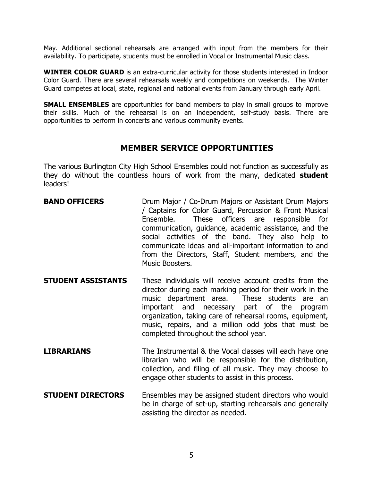May. Additional sectional rehearsals are arranged with input from the members for their availability. To participate, students must be enrolled in Vocal or Instrumental Music class.

**WINTER COLOR GUARD** is an extra-curricular activity for those students interested in Indoor Color Guard. There are several rehearsals weekly and competitions on weekends. The Winter Guard competes at local, state, regional and national events from January through early April.

**SMALL ENSEMBLES** are opportunities for band members to play in small groups to improve their skills. Much of the rehearsal is on an independent, self-study basis. There are opportunities to perform in concerts and various community events.

#### **MEMBER SERVICE OPPORTUNITIES**

The various Burlington City High School Ensembles could not function as successfully as they do without the countless hours of work from the many, dedicated **student** leaders!

- **BAND OFFICERS** Drum Major / Co-Drum Majors or Assistant Drum Majors / Captains for Color Guard, Percussion & Front Musical Ensemble. These officers are responsible for communication, guidance, academic assistance, and the social activities of the band. They also help to communicate ideas and all-important information to and from the Directors, Staff, Student members, and the Music Boosters.
- **STUDENT ASSISTANTS** These individuals will receive account credits from the director during each marking period for their work in the music department area. These students are an important and necessary part of the program organization, taking care of rehearsal rooms, equipment, music, repairs, and a million odd jobs that must be completed throughout the school year.
- **LIBRARIANS** The Instrumental & the Vocal classes will each have one librarian who will be responsible for the distribution, collection, and filing of all music. They may choose to engage other students to assist in this process.
- **STUDENT DIRECTORS** Ensembles may be assigned student directors who would be in charge of set-up, starting rehearsals and generally assisting the director as needed.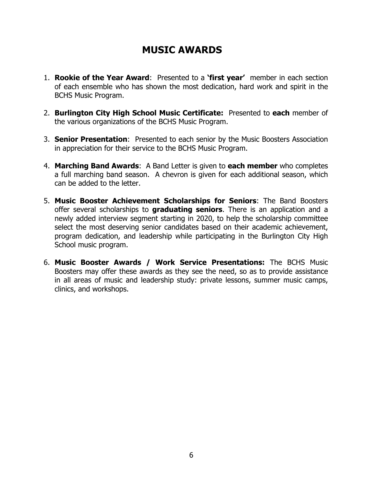## **MUSIC AWARDS**

- 1. **Rookie of the Year Award**: Presented to a **'first year'** member in each section of each ensemble who has shown the most dedication, hard work and spirit in the BCHS Music Program.
- 2. **Burlington City High School Music Certificate:** Presented to **each** member of the various organizations of the BCHS Music Program.
- 3. **Senior Presentation**: Presented to each senior by the Music Boosters Association in appreciation for their service to the BCHS Music Program.
- 4. **Marching Band Awards**: A Band Letter is given to **each member** who completes a full marching band season. A chevron is given for each additional season, which can be added to the letter.
- 5. **Music Booster Achievement Scholarships for Seniors**: The Band Boosters offer several scholarships to **graduating seniors**. There is an application and a newly added interview segment starting in 2020, to help the scholarship committee select the most deserving senior candidates based on their academic achievement, program dedication, and leadership while participating in the Burlington City High School music program.
- 6. **Music Booster Awards / Work Service Presentations:** The BCHS Music Boosters may offer these awards as they see the need, so as to provide assistance in all areas of music and leadership study: private lessons, summer music camps, clinics, and workshops.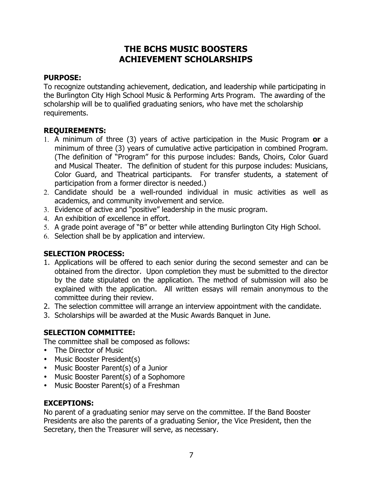#### **THE BCHS MUSIC BOOSTERS ACHIEVEMENT SCHOLARSHIPS**

#### **PURPOSE:**

To recognize outstanding achievement, dedication, and leadership while participating in the Burlington City High School Music & Performing Arts Program. The awarding of the scholarship will be to qualified graduating seniors, who have met the scholarship requirements.

#### **REQUIREMENTS:**

- 1. A minimum of three (3) years of active participation in the Music Program **or** a minimum of three (3) years of cumulative active participation in combined Program. (The definition of "Program" for this purpose includes: Bands, Choirs, Color Guard and Musical Theater. The definition of student for this purpose includes: Musicians, Color Guard, and Theatrical participants. For transfer students, a statement of participation from a former director is needed.)
- 2. Candidate should be a well-rounded individual in music activities as well as academics, and community involvement and service.
- 3. Evidence of active and "positive" leadership in the music program.
- 4. An exhibition of excellence in effort.
- 5. A grade point average of "B" or better while attending Burlington City High School.
- 6. Selection shall be by application and interview.

#### **SELECTION PROCESS:**

- 1. Applications will be offered to each senior during the second semester and can be obtained from the director. Upon completion they must be submitted to the director by the date stipulated on the application. The method of submission will also be explained with the application. All written essays will remain anonymous to the committee during their review.
- 2. The selection committee will arrange an interview appointment with the candidate.
- 3. Scholarships will be awarded at the Music Awards Banquet in June.

#### **SELECTION COMMITTEE:**

The committee shall be composed as follows:

- The Director of Music
- Music Booster President(s)
- Music Booster Parent(s) of a Junior
- Music Booster Parent(s) of a Sophomore
- Music Booster Parent(s) of a Freshman

#### **EXCEPTIONS:**

No parent of a graduating senior may serve on the committee. If the Band Booster Presidents are also the parents of a graduating Senior, the Vice President, then the Secretary, then the Treasurer will serve, as necessary.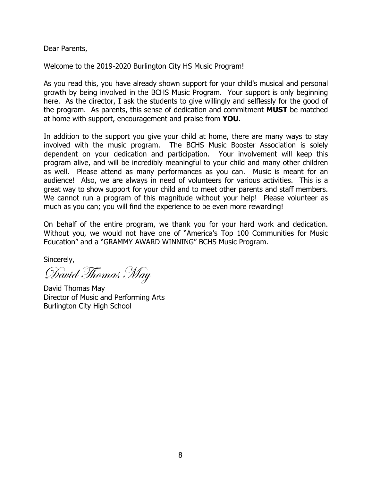Dear Parents,

Welcome to the 2019-2020 Burlington City HS Music Program!

As you read this, you have already shown support for your child's musical and personal growth by being involved in the BCHS Music Program. Your support is only beginning here. As the director, I ask the students to give willingly and selflessly for the good of the program. As parents, this sense of dedication and commitment **MUST** be matched at home with support, encouragement and praise from **YOU**.

In addition to the support you give your child at home, there are many ways to stay involved with the music program. The BCHS Music Booster Association is solely dependent on your dedication and participation. Your involvement will keep this program alive, and will be incredibly meaningful to your child and many other children as well. Please attend as many performances as you can. Music is meant for an audience! Also, we are always in need of volunteers for various activities. This is a great way to show support for your child and to meet other parents and staff members. We cannot run a program of this magnitude without your help! Please volunteer as much as you can; you will find the experience to be even more rewarding!

On behalf of the entire program, we thank you for your hard work and dedication. Without you, we would not have one of "America's Top 100 Communities for Music Education" and a "GRAMMY AWARD WINNING" BCHS Music Program.

Sincerely,

David Thomas May

David Thomas May Director of Music and Performing Arts Burlington City High School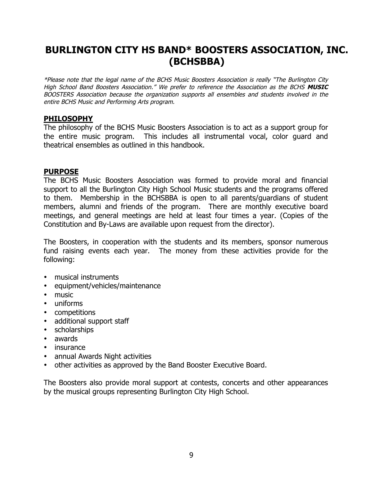## **BURLINGTON CITY HS BAND\* BOOSTERS ASSOCIATION, INC. (BCHSBBA)**

\*Please note that the legal name of the BCHS Music Boosters Association is really "The Burlington City High School Band Boosters Association." We prefer to reference the Association as the BCHS **MUSIC**  BOOSTERS Association because the organization supports all ensembles and students involved in the entire BCHS Music and Performing Arts program.

#### **PHILOSOPHY**

The philosophy of the BCHS Music Boosters Association is to act as a support group for the entire music program. This includes all instrumental vocal, color guard and theatrical ensembles as outlined in this handbook.

#### **PURPOSE**

The BCHS Music Boosters Association was formed to provide moral and financial support to all the Burlington City High School Music students and the programs offered to them. Membership in the BCHSBBA is open to all parents/guardians of student members, alumni and friends of the program. There are monthly executive board meetings, and general meetings are held at least four times a year. (Copies of the Constitution and By-Laws are available upon request from the director).

The Boosters, in cooperation with the students and its members, sponsor numerous fund raising events each year. The money from these activities provide for the following:

- musical instruments
- equipment/vehicles/maintenance
- music
- uniforms
- competitions
- additional support staff
- scholarships
- awards
- insurance
- annual Awards Night activities
- other activities as approved by the Band Booster Executive Board.

The Boosters also provide moral support at contests, concerts and other appearances by the musical groups representing Burlington City High School.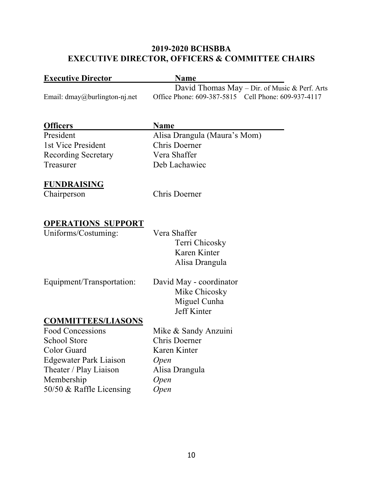#### **2019-2020 BCHSBBA EXECUTIVE DIRECTOR, OFFICERS & COMMITTEE CHAIRS**

| <b>Executive Director</b>                            | <b>Name</b>                                                                                          |
|------------------------------------------------------|------------------------------------------------------------------------------------------------------|
| Email: dmay@burlington-nj.net                        | David Thomas May - Dir. of Music & Perf. Arts<br>Office Phone: 609-387-5815 Cell Phone: 609-937-4117 |
| <b>Officers</b>                                      | <b>Name</b>                                                                                          |
| President                                            | Alisa Drangula (Maura's Mom)                                                                         |
| 1st Vice President                                   | <b>Chris Doerner</b>                                                                                 |
| <b>Recording Secretary</b>                           | Vera Shaffer                                                                                         |
| Treasurer                                            | Deb Lachawiec                                                                                        |
| <b>FUNDRAISING</b>                                   |                                                                                                      |
| Chairperson                                          | <b>Chris Doerner</b>                                                                                 |
| <b>OPERATIONS SUPPORT</b>                            |                                                                                                      |
| Uniforms/Costuming:                                  | Vera Shaffer                                                                                         |
|                                                      | Terri Chicosky                                                                                       |
|                                                      | Karen Kinter                                                                                         |
|                                                      | Alisa Drangula                                                                                       |
| Equipment/Transportation:                            | David May - coordinator                                                                              |
|                                                      | Mike Chicosky                                                                                        |
|                                                      | Miguel Cunha                                                                                         |
|                                                      | Jeff Kinter                                                                                          |
| <b>COMMITTEES/LIASONS</b><br><b>Food Concessions</b> | Mike & Sandy Anzuini                                                                                 |
| <b>School Store</b>                                  | <b>Chris Doerner</b>                                                                                 |
| Color Guard                                          | Karen Kinter                                                                                         |
| <b>Edgewater Park Liaison</b>                        | <b>Open</b>                                                                                          |
| Theater / Play Liaison                               | Alisa Drangula                                                                                       |
| Membership                                           | <i>Open</i>                                                                                          |
| 50/50 & Raffle Licensing                             | <b>Open</b>                                                                                          |
|                                                      |                                                                                                      |
|                                                      |                                                                                                      |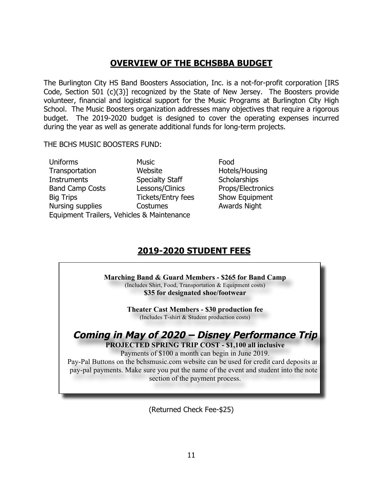## **OVERVIEW OF THE BCHSBBA BUDGET**

The Burlington City HS Band Boosters Association, Inc. is a not-for-profit corporation [IRS Code, Section 501 (c)(3)] recognized by the State of New Jersey. The Boosters provide volunteer, financial and logistical support for the Music Programs at Burlington City High School. The Music Boosters organization addresses many objectives that require a rigorous budget. The 2019-2020 budget is designed to cover the operating expenses incurred during the year as well as generate additional funds for long-term projects.

THE BCHS MUSIC BOOSTERS FUND:

Uniforms Music Music Food Transportation Website Hotels/Housing Instruments Specialty Staff Scholarships Band Camp Costs Lessons/Clinics Props/Electronics Big Trips Tickets/Entry fees Show Equipment Nursing supplies Costumes **Awards** Night Equipment Trailers, Vehicles & Maintenance

### **2019-2020 STUDENT FEES**

**Marching Band & Guard Members - \$265 for Band Camp** (Includes Shirt, Food, Transportation & Equipment costs) **\$35 for designated shoe/footwear**

> **Theater Cast Members - \$30 production fee** (Includes T-shirt & Student production costs)

#### **Coming in May of 2020 – Disney Performance Trip PROJECTED SPRING TRIP COST - \$1,100 all inclusive**

Payments of \$100 a month can begin in June 2019. Pay-Pal Buttons on the bchsmusic.com website can be used for credit card deposits and pay-pal payments. Make sure you put the name of the event and student into the notes section of the payment process.

(Returned Check Fee-\$25)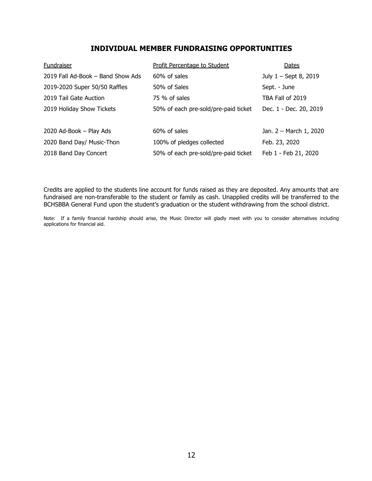#### **INDIVIDUAL MEMBER FUNDRAISING OPPORTUNITIES**

| Fundraiser                        | Profit Percentage to Student         | Dates                  |
|-----------------------------------|--------------------------------------|------------------------|
| 2019 Fall Ad-Book - Band Show Ads | 60% of sales                         | July 1 - Sept 8, 2019  |
| 2019-2020 Super 50/50 Raffles     | 50% of Sales                         | Sept. - June           |
| 2019 Tail Gate Auction            | 75 % of sales                        | TBA Fall of 2019       |
| 2019 Holiday Show Tickets         | 50% of each pre-sold/pre-paid ticket | Dec. 1 - Dec. 20, 2019 |
| 2020 Ad-Book - Play Ads           | $60\%$ of sales                      | Jan. 2 - March 1, 2020 |
| 2020 Band Day/ Music-Thon         | 100% of pledges collected            | Feb. 23, 2020          |
| 2018 Band Day Concert             | 50% of each pre-sold/pre-paid ticket | Feb 1 - Feb 21, 2020   |

Credits are applied to the students line account for funds raised as they are deposited. Any amounts that are fundraised are non-transferable to the student or family as cash. Unapplied credits will be transferred to the BCHSBBA General Fund upon the student's graduation or the student withdrawing from the school district.

Note: If a family financial hardship should arise, the Music Director will gladly meet with you to consider alternatives including applications for financial aid.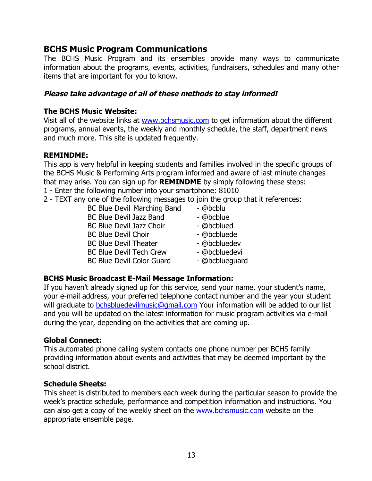#### **BCHS Music Program Communications**

The BCHS Music Program and its ensembles provide many ways to communicate information about the programs, events, activities, fundraisers, schedules and many other items that are important for you to know.

#### **Please take advantage of all of these methods to stay informed!**

#### **The BCHS Music Website:**

Visit all of the website links at www.bchsmusic.com to get information about the different programs, annual events, the weekly and monthly schedule, the staff, department news and much more. This site is updated frequently.

#### **REMINDME:**

This app is very helpful in keeping students and families involved in the specific groups of the BCHS Music & Performing Arts program informed and aware of last minute changes that may arise. You can sign up for **REMINDME** by simply following these steps:

- 1 Enter the following number into your smartphone: 81010
- 2 TEXT any one of the following messages to join the group that it references:
	- BC Blue Devil Marching Band @bcblu BC Blue Devil Jazz Band - @bcblue BC Blue Devil Jazz Choir - @bcblued BC Blue Devil Choir - @bcbluede BC Blue Devil Theater - @bcbluedev BC Blue Devil Tech Crew - @bcbluedevi
		-
		-
		-
	- BC Blue Devil Color Guard @bcblueguard

#### **BCHS Music Broadcast E-Mail Message Information:**

If you haven't already signed up for this service, send your name, your student's name, your e-mail address, your preferred telephone contact number and the year your student will graduate to bchsbluedevilmusic@gmail.com Your information will be added to our list and you will be updated on the latest information for music program activities via e-mail during the year, depending on the activities that are coming up.

#### **Global Connect:**

This automated phone calling system contacts one phone number per BCHS family providing information about events and activities that may be deemed important by the school district.

#### **Schedule Sheets:**

This sheet is distributed to members each week during the particular season to provide the week's practice schedule, performance and competition information and instructions. You can also get a copy of the weekly sheet on the www.bchsmusic.com website on the appropriate ensemble page.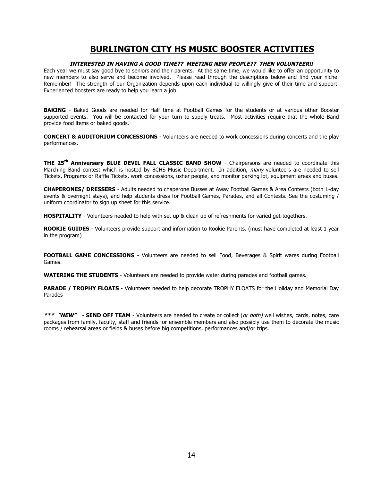#### **BURLINGTON CITY HS MUSIC BOOSTER ACTIVITIES**

#### **INTERESTED IN HAVING A GOOD TIME?? MEETING NEW PEOPLE?? THEN VOLUNTEER!!**

Each year we must say good bye to seniors and their parents. At the same time, we would like to offer an opportunity to new members to also serve and become involved. Please read through the descriptions below and find your niche. Remember! The strength of our Organization depends upon each individual to willingly give of their time and support. Experienced boosters are ready to help you learn a job.

**BAKING** - Baked Goods are needed for Half time at Football Games for the students or at various other Booster supported events. You will be contacted for your turn to supply treats. Most activities require that the whole Band provide food items or baked goods.

**CONCERT & AUDITORIUM CONCESSIONS** - Volunteers are needed to work concessions during concerts and the play performances.

**THE 25th Anniversary BLUE DEVIL FALL CLASSIC BAND SHOW** - Chairpersons are needed to coordinate this Marching Band contest which is hosted by BCHS Music Department. In addition, many volunteers are needed to sell Tickets, Programs or Raffle Tickets, work concessions, usher people, and monitor parking lot, equipment areas and buses.

**CHAPERONES/ DRESSERS** - Adults needed to chaperone Busses at Away Football Games & Area Contests (both 1-day events & overnight stays), and help students dress for Football Games, Parades, and all Contests. See the costuming / uniform coordinator to sign up sheet for this service.

**HOSPITALITY** - Volunteers needed to help with set up & clean up of refreshments for varied get-togethers.

**ROOKIE GUIDES** - Volunteers provide support and information to Rookie Parents. (must have completed at least 1 year in the program)

**FOOTBALL GAME CONCESSIONS** - Volunteers are needed to sell Food, Beverages & Spirit wares during Football Games.

**WATERING THE STUDENTS** - Volunteers are needed to provide water during parades and football games.

**PARADE / TROPHY FLOATS** - Volunteers needed to help decorate TROPHY FLOATS for the Holiday and Memorial Day Parades

**\*\*\* "NEW" - SEND OFF TEAM** - Volunteers are needed to create or collect (or both) well wishes, cards, notes, care packages from family, faculty, staff and friends for ensemble members and also possibly use them to decorate the music rooms / rehearsal areas or fields & buses before big competitions, performances and/or trips.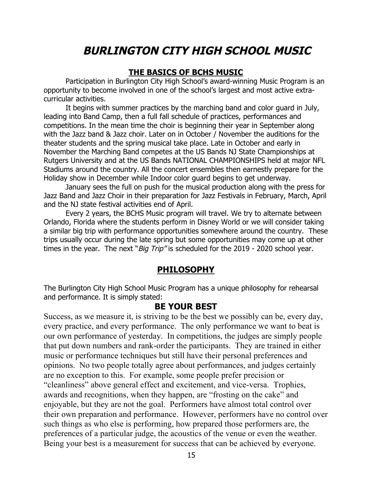## **BURLINGTON CITY HIGH SCHOOL MUSIC**

#### **THE BASICS OF BCHS MUSIC**

Participation in Burlington City High School's award-winning Music Program is an opportunity to become involved in one of the school's largest and most active extracurricular activities.

It begins with summer practices by the marching band and color guard in July, leading into Band Camp, then a full fall schedule of practices, performances and competitions. In the mean time the choir is beginning their year in September along with the Jazz band & Jazz choir. Later on in October / November the auditions for the theater students and the spring musical take place. Late in October and early in November the Marching Band competes at the US Bands NJ State Championships at Rutgers University and at the US Bands NATIONAL CHAMPIONSHIPS held at major NFL Stadiums around the country. All the concert ensembles then earnestly prepare for the Holiday show in December while Indoor color guard begins to get underway.

January sees the full on push for the musical production along with the press for Jazz Band and Jazz Choir in their preparation for Jazz Festivals in February, March, April and the NJ state festival activities end of April.

Every 2 years, the BCHS Music program will travel. We try to alternate between Orlando, Florida where the students perform in Disney World or we will consider taking a similar big trip with performance opportunities somewhere around the country. These trips usually occur during the late spring but some opportunities may come up at other times in the year. The next "*Big Trip"* is scheduled for the 2019 - 2020 school year.

#### **PHILOSOPHY**

The Burlington City High School Music Program has a unique philosophy for rehearsal and performance. It is simply stated:

#### **BE YOUR BEST**

Success, as we measure it, is striving to be the best we possibly can be, every day, every practice, and every performance. The only performance we want to beat is our own performance of yesterday. In competitions, the judges are simply people that put down numbers and rank-order the participants. They are trained in either music or performance techniques but still have their personal preferences and opinions. No two people totally agree about performances, and judges certainly are no exception to this. For example, some people prefer precision or "cleanliness" above general effect and excitement, and vice-versa. Trophies, awards and recognitions, when they happen, are "frosting on the cake" and enjoyable, but they are not the goal. Performers have almost total control over their own preparation and performance. However, performers have no control over such things as who else is performing, how prepared those performers are, the preferences of a particular judge, the acoustics of the venue or even the weather. Being your best is a measurement for success that can be achieved by everyone.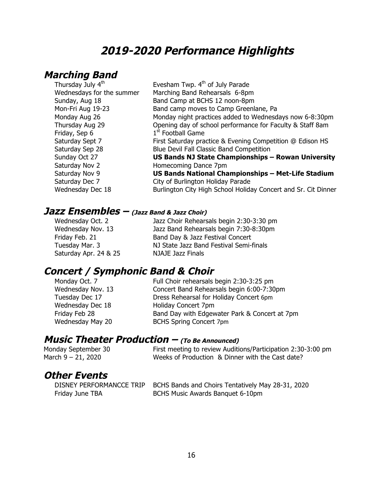## **2019-2020 Performance Highlights**

## **Marching Band**

| Thursday July 4 <sup>th</sup> | Evesham Twp. 4 <sup>th</sup> of July Parade                    |
|-------------------------------|----------------------------------------------------------------|
| Wednesdays for the summer     | Marching Band Rehearsals 6-8pm                                 |
| Sunday, Aug 18                | Band Camp at BCHS 12 noon-8pm                                  |
| Mon-Fri Aug 19-23             | Band camp moves to Camp Greenlane, Pa                          |
| Monday Aug 26                 | Monday night practices added to Wednesdays now 6-8:30pm        |
| Thursday Aug 29               | Opening day of school performance for Faculty & Staff 8am      |
| Friday, Sep 6                 | 1 <sup>st</sup> Football Game                                  |
| Saturday Sept 7               | First Saturday practice & Evening Competition @ Edison HS      |
| Saturday Sep 28               | Blue Devil Fall Classic Band Competition                       |
| Sunday Oct 27                 | US Bands NJ State Championships - Rowan University             |
| Saturday Nov 2                | Homecoming Dance 7pm                                           |
| Saturday Nov 9                | US Bands National Championships - Met-Life Stadium             |
| Saturday Dec 7                | City of Burlington Holiday Parade                              |
| Wednesday Dec 18              | Burlington City High School Holiday Concert and Sr. Cit Dinner |
|                               |                                                                |

#### **Jazz Ensembles – (Jazz Band & Jazz Choir)**

Saturday Apr. 24 & 25 NJAJE Jazz Finals

Wednesday Oct. 2 Jazz Choir Rehearsals begin 2:30-3:30 pm Wednesday Nov. 13 Jazz Band Rehearsals begin 7:30-8:30pm Friday Feb. 21 **Band Day & Jazz Festival Concert** Tuesday Mar. 3 NJ State Jazz Band Festival Semi-finals

## **Concert / Symphonic Band & Choir**<br>Monday Oct. 7 Full Choir rehearsals I

Full Choir rehearsals begin 2:30-3:25 pm Wednesday Nov. 13 Concert Band Rehearsals begin 6:00-7:30pm Tuesday Dec 17 Dress Rehearsal for Holiday Concert 6pm Wednesday Dec 18 Holiday Concert 7pm Friday Feb 28 **Band Day with Edgewater Park & Concert at 7pm** Wednesday May 20 BCHS Spring Concert 7pm

### **Music Theater Production – (To Be Announced)**

Monday September 30 First meeting to review Auditions/Participation 2:30-3:00 pm March 9 – 21, 2020 Weeks of Production & Dinner with the Cast date?

### **Other Events**

DISNEY PERFORMANCCE TRIP BCHS Bands and Choirs Tentatively May 28-31, 2020 Friday June TBA BCHS Music Awards Banquet 6-10pm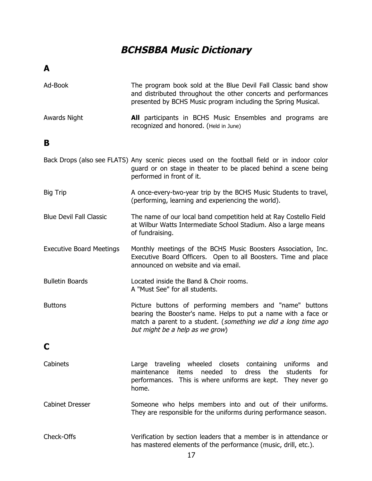## **BCHSBBA Music Dictionary**

**A**

| Ad-Book                         | The program book sold at the Blue Devil Fall Classic band show<br>and distributed throughout the other concerts and performances<br>presented by BCHS Music program including the Spring Musical.                               |
|---------------------------------|---------------------------------------------------------------------------------------------------------------------------------------------------------------------------------------------------------------------------------|
| <b>Awards Night</b>             | <b>All</b> participants in BCHS Music Ensembles and programs are<br>recognized and honored. (Held in June)                                                                                                                      |
| в                               |                                                                                                                                                                                                                                 |
|                                 | Back Drops (also see FLATS) Any scenic pieces used on the football field or in indoor color<br>guard or on stage in theater to be placed behind a scene being<br>performed in front of it.                                      |
| <b>Big Trip</b>                 | A once-every-two-year trip by the BCHS Music Students to travel,<br>(performing, learning and experiencing the world).                                                                                                          |
| <b>Blue Devil Fall Classic</b>  | The name of our local band competition held at Ray Costello Field<br>at Wilbur Watts Intermediate School Stadium. Also a large means<br>of fundraising.                                                                         |
| <b>Executive Board Meetings</b> | Monthly meetings of the BCHS Music Boosters Association, Inc.<br>Executive Board Officers. Open to all Boosters. Time and place<br>announced on website and via email.                                                          |
| <b>Bulletin Boards</b>          | Located inside the Band & Choir rooms.<br>A "Must See" for all students.                                                                                                                                                        |
| <b>Buttons</b>                  | Picture buttons of performing members and "name" buttons<br>bearing the Booster's name. Helps to put a name with a face or<br>match a parent to a student. (something we did a long time ago<br>but might be a help as we grow) |
| C                               |                                                                                                                                                                                                                                 |
| Cabinets                        | Large traveling wheeled closets containing<br>uniforms<br>and<br>for<br>needed<br>to<br>dress<br>the<br>students<br>maintenance<br>items<br>performances. This is where uniforms are kept. They never go<br>home.               |
| <b>Cabinet Dresser</b>          | Someone who helps members into and out of their uniforms.<br>They are responsible for the uniforms during performance season.                                                                                                   |
| Check-Offs                      | Verification by section leaders that a member is in attendance or<br>has mastered elements of the performance (music, drill, etc.).                                                                                             |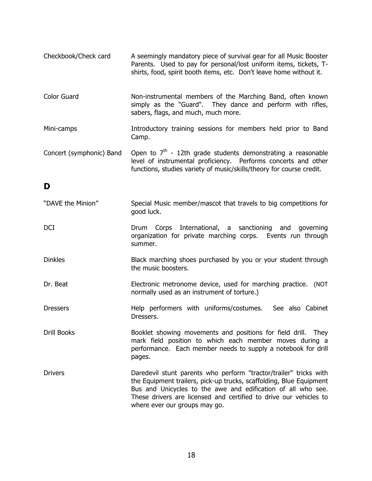| Checkbook/Check card     | A seemingly mandatory piece of survival gear for all Music Booster<br>Parents. Used to pay for personal/lost uniform items, tickets, T-<br>shirts, food, spirit booth items, etc. Don't leave home without it.                                                                                                 |
|--------------------------|----------------------------------------------------------------------------------------------------------------------------------------------------------------------------------------------------------------------------------------------------------------------------------------------------------------|
| <b>Color Guard</b>       | Non-instrumental members of the Marching Band, often known<br>simply as the "Guard". They dance and perform with rifles,<br>sabers, flags, and much, much more.                                                                                                                                                |
| Mini-camps               | Introductory training sessions for members held prior to Band<br>Camp.                                                                                                                                                                                                                                         |
| Concert (symphonic) Band | Open to $7th$ - 12th grade students demonstrating a reasonable<br>level of instrumental proficiency. Performs concerts and other<br>functions, studies variety of music/skills/theory for course credit.                                                                                                       |
| D                        |                                                                                                                                                                                                                                                                                                                |
| "DAVE the Minion"        | Special Music member/mascot that travels to big competitions for<br>good luck.                                                                                                                                                                                                                                 |
| DCI                      | Drum Corps International, a sanctioning and governing<br>organization for private marching corps. Events run through<br>summer.                                                                                                                                                                                |
| <b>Dinkles</b>           | Black marching shoes purchased by you or your student through<br>the music boosters.                                                                                                                                                                                                                           |
| Dr. Beat                 | Electronic metronome device, used for marching practice. (NOT<br>normally used as an instrument of torture.)                                                                                                                                                                                                   |
| <b>Dressers</b>          | Help performers with uniforms/costumes.<br>See also Cabinet<br>Dressers.                                                                                                                                                                                                                                       |
| <b>Drill Books</b>       | Booklet showing movements and positions for field drill. They<br>mark field position to which each member moves during a<br>performance. Each member needs to supply a notebook for drill<br>pages.                                                                                                            |
| <b>Drivers</b>           | Daredevil stunt parents who perform "tractor/trailer" tricks with<br>the Equipment trailers, pick-up trucks, scaffolding, Blue Equipment<br>Bus and Unicycles to the awe and edification of all who see.<br>These drivers are licensed and certified to drive our vehicles to<br>where ever our groups may go. |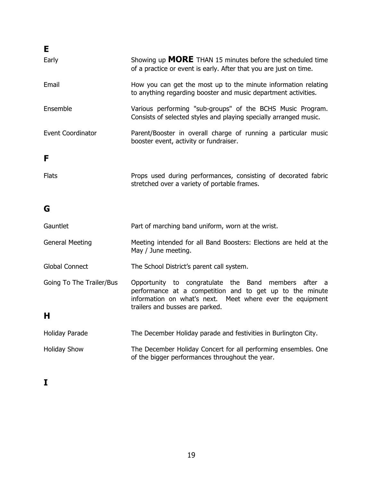| Е                 |                                                                                                                                       |
|-------------------|---------------------------------------------------------------------------------------------------------------------------------------|
| Early             | Showing up <b>MORE</b> THAN 15 minutes before the scheduled time<br>of a practice or event is early. After that you are just on time. |
| Email             | How you can get the most up to the minute information relating<br>to anything regarding booster and music department activities.      |
| Ensemble          | Various performing "sub-groups" of the BCHS Music Program.<br>Consists of selected styles and playing specially arranged music.       |
| Event Coordinator | Parent/Booster in overall charge of running a particular music<br>booster event, activity or fundraiser.                              |
| F                 |                                                                                                                                       |
| <b>Flats</b>      | Props used during performances, consisting of decorated fabric<br>stretched over a variety of portable frames.                        |

## **G**

| Gauntlet                 | Part of marching band uniform, worn at the wrist.                                                                                                                                                                |  |
|--------------------------|------------------------------------------------------------------------------------------------------------------------------------------------------------------------------------------------------------------|--|
| <b>General Meeting</b>   | Meeting intended for all Band Boosters: Elections are held at the<br>May / June meeting.                                                                                                                         |  |
| Global Connect           | The School District's parent call system.                                                                                                                                                                        |  |
| Going To The Trailer/Bus | Opportunity to congratulate the Band members after a<br>performance at a competition and to get up to the minute<br>information on what's next. Meet where ever the equipment<br>trailers and busses are parked. |  |
| н                        |                                                                                                                                                                                                                  |  |
| <b>Holiday Parade</b>    | The December Holiday parade and festivities in Burlington City.                                                                                                                                                  |  |
| <b>Holiday Show</b>      | The December Holiday Concert for all performing ensembles. One<br>of the bigger performances throughout the year.                                                                                                |  |

**I**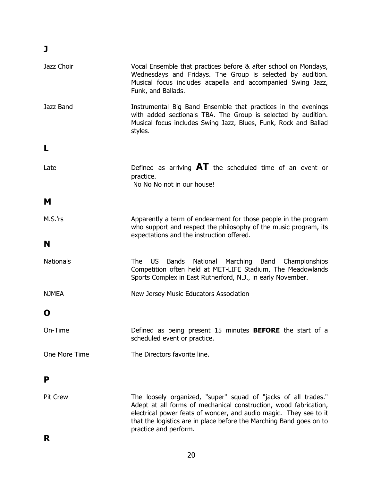| Jazz Choir       | Vocal Ensemble that practices before & after school on Mondays,<br>Wednesdays and Fridays. The Group is selected by audition.<br>Musical focus includes acapella and accompanied Swing Jazz,<br>Funk, and Ballads.                                                                                      |
|------------------|---------------------------------------------------------------------------------------------------------------------------------------------------------------------------------------------------------------------------------------------------------------------------------------------------------|
| Jazz Band        | Instrumental Big Band Ensemble that practices in the evenings<br>with added sectionals TBA. The Group is selected by audition.<br>Musical focus includes Swing Jazz, Blues, Funk, Rock and Ballad<br>styles.                                                                                            |
| L                |                                                                                                                                                                                                                                                                                                         |
| Late             | Defined as arriving $\mathbf{A}\mathbf{T}$ the scheduled time of an event or<br>practice.<br>No No No not in our house!                                                                                                                                                                                 |
| м                |                                                                                                                                                                                                                                                                                                         |
| M.S.'rs          | Apparently a term of endearment for those people in the program<br>who support and respect the philosophy of the music program, its<br>expectations and the instruction offered.                                                                                                                        |
| N                |                                                                                                                                                                                                                                                                                                         |
| <b>Nationals</b> | <b>US</b><br>Marching Band<br>The l<br>Bands<br>National<br>Championships<br>Competition often held at MET-LIFE Stadium, The Meadowlands<br>Sports Complex in East Rutherford, N.J., in early November.                                                                                                 |
| <b>NJMEA</b>     | New Jersey Music Educators Association                                                                                                                                                                                                                                                                  |
| O                |                                                                                                                                                                                                                                                                                                         |
| On-Time          | Defined as being present 15 minutes <b>BEFORE</b> the start of a<br>scheduled event or practice.                                                                                                                                                                                                        |
| One More Time    | The Directors favorite line.                                                                                                                                                                                                                                                                            |
| P                |                                                                                                                                                                                                                                                                                                         |
| <b>Pit Crew</b>  | The loosely organized, "super" squad of "jacks of all trades."<br>Adept at all forms of mechanical construction, wood fabrication,<br>electrical power feats of wonder, and audio magic. They see to it<br>that the logistics are in place before the Marching Band goes on to<br>practice and perform. |

## **J**

**R**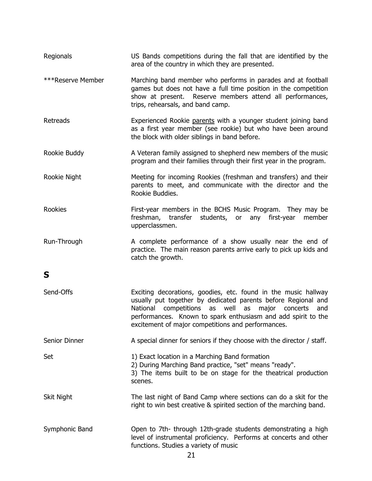| Regionals         | US Bands competitions during the fall that are identified by the<br>area of the country in which they are presented.                                                                                                                                                                                                |
|-------------------|---------------------------------------------------------------------------------------------------------------------------------------------------------------------------------------------------------------------------------------------------------------------------------------------------------------------|
| ***Reserve Member | Marching band member who performs in parades and at football<br>games but does not have a full time position in the competition<br>show at present. Reserve members attend all performances,<br>trips, rehearsals, and band camp.                                                                                   |
| Retreads          | Experienced Rookie parents with a younger student joining band<br>as a first year member (see rookie) but who have been around<br>the block with older siblings in band before.                                                                                                                                     |
| Rookie Buddy      | A Veteran family assigned to shepherd new members of the music<br>program and their families through their first year in the program.                                                                                                                                                                               |
| Rookie Night      | Meeting for incoming Rookies (freshman and transfers) and their<br>parents to meet, and communicate with the director and the<br>Rookie Buddies.                                                                                                                                                                    |
| <b>Rookies</b>    | First-year members in the BCHS Music Program. They may be<br>freshman, transfer students, or<br>any<br>first-year<br>member<br>upperclassmen.                                                                                                                                                                       |
| Run-Through       | A complete performance of a show usually near the end of<br>practice. The main reason parents arrive early to pick up kids and<br>catch the growth.                                                                                                                                                                 |
| S                 |                                                                                                                                                                                                                                                                                                                     |
| Send-Offs         | Exciting decorations, goodies, etc. found in the music hallway<br>usually put together by dedicated parents before Regional and<br>National competitions as well as<br>major concerts<br>and<br>performances. Known to spark enthusiasm and add spirit to the<br>excitement of major competitions and performances. |
| Senior Dinner     | A special dinner for seniors if they choose with the director / staff.                                                                                                                                                                                                                                              |
| Set               | 1) Exact location in a Marching Band formation<br>2) During Marching Band practice, "set" means "ready".<br>3) The items built to be on stage for the theatrical production<br>scenes.                                                                                                                              |
| Skit Night        | The last night of Band Camp where sections can do a skit for the<br>right to win best creative & spirited section of the marching band.                                                                                                                                                                             |
| Symphonic Band    | Open to 7th-through 12th-grade students demonstrating a high<br>level of instrumental proficiency. Performs at concerts and other<br>functions. Studies a variety of music<br>21                                                                                                                                    |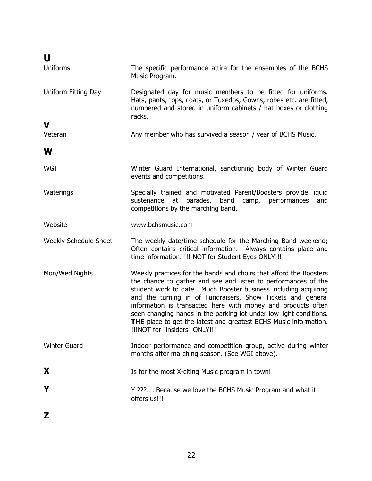| U                     |                                                                                                                                                                                                                                                                                                                                                                                                                                                                                                                          |
|-----------------------|--------------------------------------------------------------------------------------------------------------------------------------------------------------------------------------------------------------------------------------------------------------------------------------------------------------------------------------------------------------------------------------------------------------------------------------------------------------------------------------------------------------------------|
| <b>Uniforms</b>       | The specific performance attire for the ensembles of the BCHS<br>Music Program.                                                                                                                                                                                                                                                                                                                                                                                                                                          |
| Uniform Fitting Day   | Designated day for music members to be fitted for uniforms.<br>Hats, pants, tops, coats, or Tuxedos, Gowns, robes etc. are fitted,<br>numbered and stored in uniform cabinets / hat boxes or clothing<br>racks.                                                                                                                                                                                                                                                                                                          |
| V                     |                                                                                                                                                                                                                                                                                                                                                                                                                                                                                                                          |
| Veteran               | Any member who has survived a season / year of BCHS Music.                                                                                                                                                                                                                                                                                                                                                                                                                                                               |
| W                     |                                                                                                                                                                                                                                                                                                                                                                                                                                                                                                                          |
| WGI                   | Winter Guard International, sanctioning body of Winter Guard<br>events and competitions.                                                                                                                                                                                                                                                                                                                                                                                                                                 |
| Waterings             | Specially trained and motivated Parent/Boosters provide liquid<br>sustenance at parades, band<br>camp, performances<br>and<br>competitions by the marching band.                                                                                                                                                                                                                                                                                                                                                         |
| Website               | www.bchsmusic.com                                                                                                                                                                                                                                                                                                                                                                                                                                                                                                        |
| Weekly Schedule Sheet | The weekly date/time schedule for the Marching Band weekend;<br>Often contains critical information. Always contains place and<br>time information. !!! NOT for Student Eyes ONLY!!!                                                                                                                                                                                                                                                                                                                                     |
| Mon/Wed Nights        | Weekly practices for the bands and choirs that afford the Boosters<br>the chance to gather and see and listen to performances of the<br>student work to date. Much Booster business including acquiring<br>and the turning in of Fundraisers, Show Tickets and general<br>information is transacted here with money and products often<br>seen changing hands in the parking lot under low light conditions.<br><b>THE</b> place to get the latest and greatest BCHS Music information.<br>!!!NOT for "insiders" ONLY!!! |
| <b>Winter Guard</b>   | Indoor performance and competition group, active during winter<br>months after marching season. (See WGI above).                                                                                                                                                                                                                                                                                                                                                                                                         |
| X                     | Is for the most X-citing Music program in town!                                                                                                                                                                                                                                                                                                                                                                                                                                                                          |
| Y                     | Y ??? Because we love the BCHS Music Program and what it<br>offers us!!!                                                                                                                                                                                                                                                                                                                                                                                                                                                 |
| Z                     |                                                                                                                                                                                                                                                                                                                                                                                                                                                                                                                          |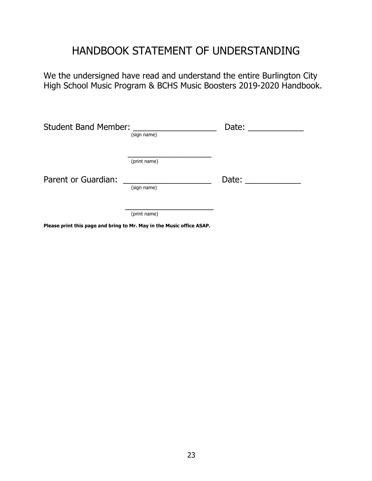## HANDBOOK STATEMENT OF UNDERSTANDING

We the undersigned have read and understand the entire Burlington City High School Music Program & BCHS Music Boosters 2019-2020 Handbook.

| <b>Student Band Member:</b> | (sign name)  | Date: |
|-----------------------------|--------------|-------|
|                             | (print name) |       |
| Parent or Guardian:         | (sign name)  | Date: |
|                             | (print name) |       |

**Please print this page and bring to Mr. May in the Music office ASAP.**